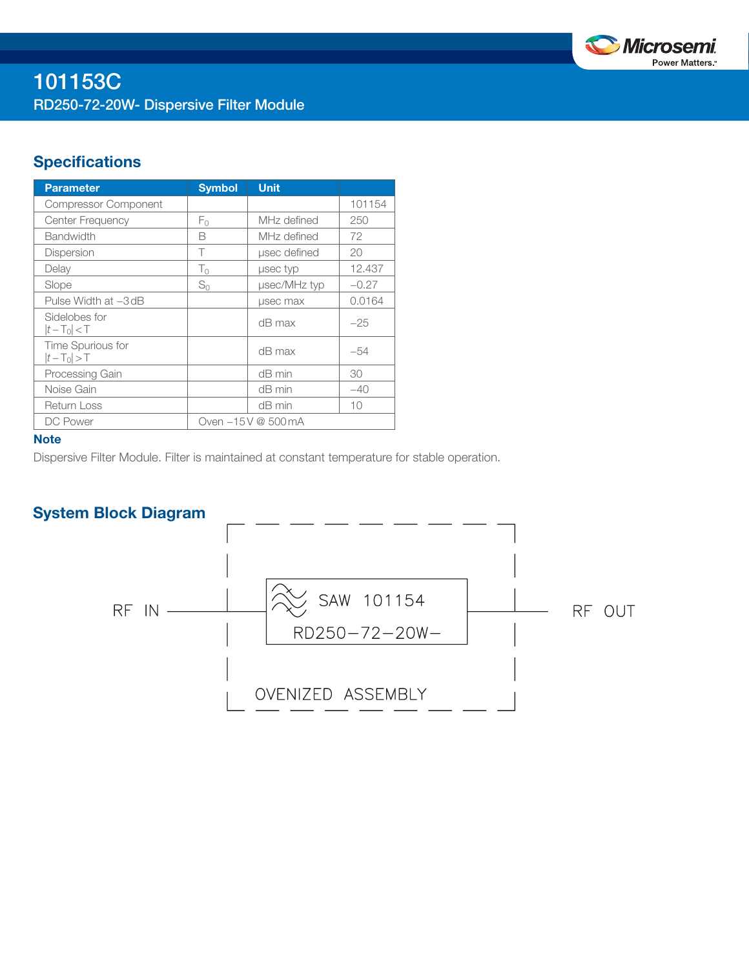

# **Specifications**

| <b>Parameter</b>                 | <b>Symbol</b>      | <b>Unit</b>  |         |
|----------------------------------|--------------------|--------------|---------|
| <b>Compressor Component</b>      |                    |              | 101154  |
| Center Frequency                 | F٥                 | MHz defined  | 250     |
| <b>Bandwidth</b>                 | B                  | MHz defined  | 72      |
| <b>Dispersion</b>                | Τ                  | usec defined | 20      |
| Delay                            | $T_0$              | usec typ     | 12.437  |
| Slope                            | $S_0$              | µsec/MHz typ | $-0.27$ |
| Pulse Width at -3 dB             |                    | usec max     | 0.0164  |
| Sidelobes for<br>$ t-T_0  < T$   |                    | dB max       | $-25$   |
| Time Spurious for<br>$ t-T_0 >T$ |                    | $dB$ max     | -54     |
| Processing Gain                  |                    | $dB$ min     | 30      |
| Noise Gain                       |                    | $dB$ min     | $-40$   |
| <b>Return Loss</b>               |                    | $dB$ min     | 10      |
| DC Power                         | Oven -15V @ 500 mA |              |         |

### **Note**

Dispersive Filter Module. Filter is maintained at constant temperature for stable operation.